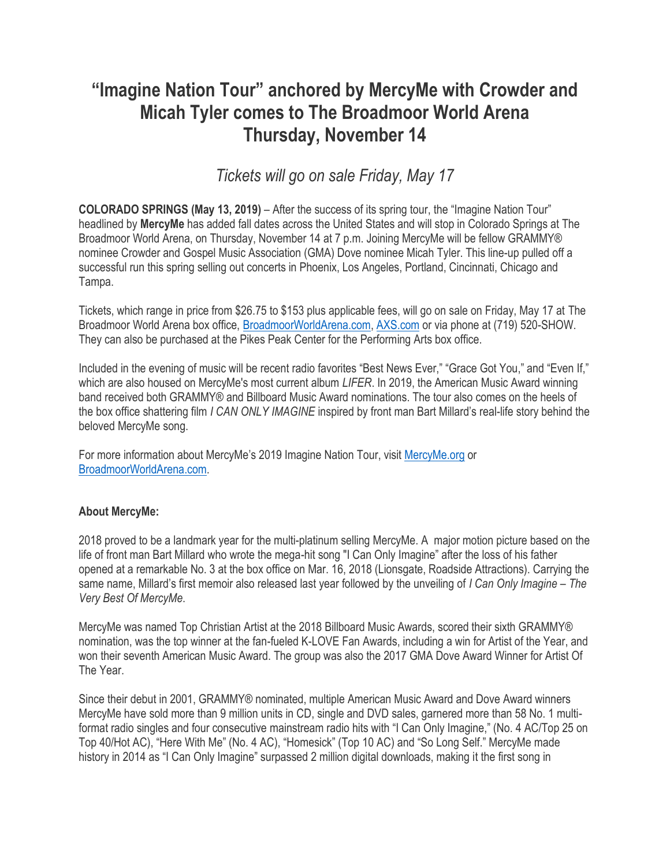## **"Imagine Nation Tour" anchored by MercyMe with Crowder and Micah Tyler comes to The Broadmoor World Arena Thursday, November 14**

*Tickets will go on sale Friday, May 17*

**COLORADO SPRINGS (May 13, 2019)** – After the success of its spring tour, the "Imagine Nation Tour" headlined by **MercyMe** has added fall dates across the United States and will stop in Colorado Springs at The Broadmoor World Arena, on Thursday, November 14 at 7 p.m. Joining MercyMe will be fellow GRAMMY® nominee Crowder and Gospel Music Association (GMA) Dove nominee Micah Tyler. This line-up pulled off a successful run this spring selling out concerts in Phoenix, Los Angeles, Portland, Cincinnati, Chicago and Tampa.

Tickets, which range in price from \$26.75 to \$153 plus applicable fees, will go on sale on Friday, May 17 at The Broadmoor World Arena box office, [BroadmoorWorldArena.com,](http://www.broadmoorworldarena.com/) [AXS.com](http://www.axs.com/) or via phone at (719) 520-SHOW. They can also be purchased at the Pikes Peak Center for the Performing Arts box office.

Included in the evening of music will be recent radio favorites "Best News Ever," "Grace Got You," and "Even If," which are also housed on MercyMe's most current album *LIFER*. In 2019, the American Music Award winning band received both GRAMMY® and Billboard Music Award nominations. The tour also comes on the heels of the box office shattering film *I CAN ONLY IMAGINE* inspired by front man Bart Millard's real-life story behind the beloved MercyMe song.

For more information about MercyMe's 2019 Imagine Nation Tour, visit [MercyMe.org](http://www.mercyme.org/) or [BroadmoorWorldArena.com.](http://www.broadmoorworldarena.com/)

## **About MercyMe:**

2018 proved to be a landmark year for the multi-platinum selling MercyMe. A major motion picture based on the life of front man Bart Millard who wrote the mega-hit song "I Can Only Imagine" after the loss of his father opened at a remarkable No. 3 at the box office on Mar. 16, 2018 (Lionsgate, Roadside Attractions). Carrying the same name, Millard's first memoir also released last year followed by the unveiling of *I Can Only Imagine – The Very Best Of MercyMe*.

MercyMe was named Top Christian Artist at the 2018 Billboard Music Awards, scored their sixth GRAMMY® nomination, was the top winner at the fan-fueled K-LOVE Fan Awards, including a win for Artist of the Year, and won their seventh American Music Award. The group was also the 2017 GMA Dove Award Winner for Artist Of The Year.

Since their debut in 2001, GRAMMY® nominated, multiple American Music Award and Dove Award winners MercyMe have sold more than 9 million units in CD, single and DVD sales, garnered more than 58 No. 1 multiformat radio singles and four consecutive mainstream radio hits with "I Can Only Imagine," (No. 4 AC/Top 25 on Top 40/Hot AC), "Here With Me" (No. 4 AC), "Homesick" (Top 10 AC) and "So Long Self." MercyMe made history in 2014 as "I Can Only Imagine" surpassed 2 million digital downloads, making it the first song in